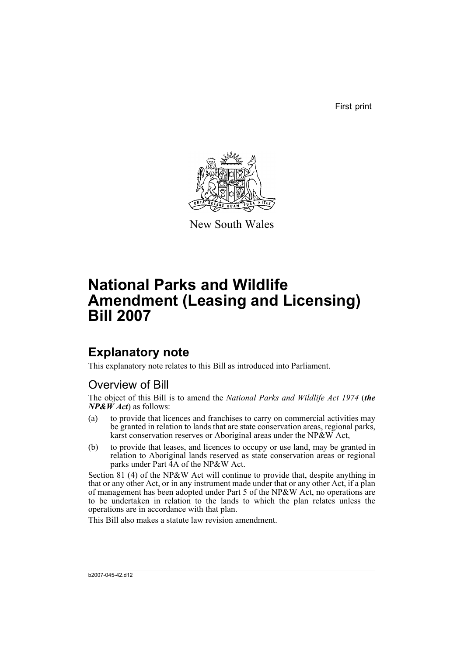First print



New South Wales

# **National Parks and Wildlife Amendment (Leasing and Licensing) Bill 2007**

## **Explanatory note**

This explanatory note relates to this Bill as introduced into Parliament.

### Overview of Bill

The object of this Bill is to amend the *National Parks and Wildlife Act 1974* (*the*  $NP&W\hat{A}ct$  as follows:

- (a) to provide that licences and franchises to carry on commercial activities may be granted in relation to lands that are state conservation areas, regional parks, karst conservation reserves or Aboriginal areas under the NP&W Act,
- (b) to provide that leases, and licences to occupy or use land, may be granted in relation to Aboriginal lands reserved as state conservation areas or regional parks under Part 4A of the NP&W Act.

Section 81 (4) of the NP&W Act will continue to provide that, despite anything in that or any other Act, or in any instrument made under that or any other Act, if a plan of management has been adopted under Part 5 of the NP&W Act, no operations are to be undertaken in relation to the lands to which the plan relates unless the operations are in accordance with that plan.

This Bill also makes a statute law revision amendment.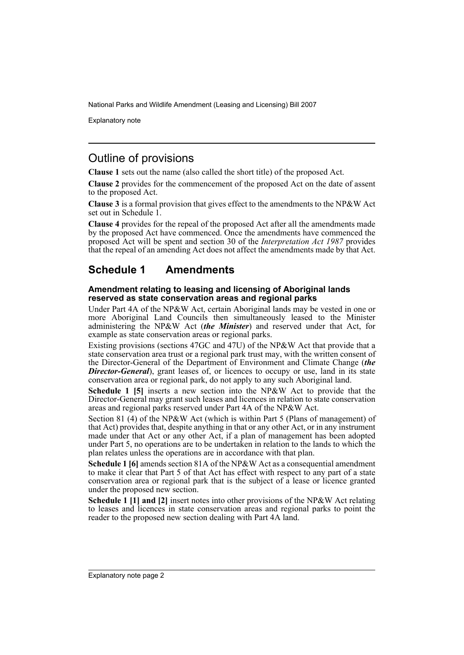Explanatory note

### Outline of provisions

**Clause 1** sets out the name (also called the short title) of the proposed Act.

**Clause 2** provides for the commencement of the proposed Act on the date of assent to the proposed Act.

**Clause 3** is a formal provision that gives effect to the amendments to the NP&W Act set out in Schedule 1.

**Clause 4** provides for the repeal of the proposed Act after all the amendments made by the proposed Act have commenced. Once the amendments have commenced the proposed Act will be spent and section 30 of the *Interpretation Act 1987* provides that the repeal of an amending Act does not affect the amendments made by that Act.

### **Schedule 1 Amendments**

#### **Amendment relating to leasing and licensing of Aboriginal lands reserved as state conservation areas and regional parks**

Under Part 4A of the NP&W Act, certain Aboriginal lands may be vested in one or more Aboriginal Land Councils then simultaneously leased to the Minister administering the NP&W Act (*the Minister*) and reserved under that Act, for example as state conservation areas or regional parks.

Existing provisions (sections 47GC and 47U) of the NP&W Act that provide that a state conservation area trust or a regional park trust may, with the written consent of the Director-General of the Department of Environment and Climate Change (*the* **Director-General**), grant leases of, or licences to occupy or use, land in its state conservation area or regional park, do not apply to any such Aboriginal land.

**Schedule 1 [5]** inserts a new section into the NP&W Act to provide that the Director-General may grant such leases and licences in relation to state conservation areas and regional parks reserved under Part 4A of the NP&W Act.

Section 81 (4) of the NP&W Act (which is within Part 5 (Plans of management) of that Act) provides that, despite anything in that or any other Act, or in any instrument made under that Act or any other Act, if a plan of management has been adopted under Part 5, no operations are to be undertaken in relation to the lands to which the plan relates unless the operations are in accordance with that plan.

**Schedule 1 [6]** amends section 81A of the NP&W Act as a consequential amendment to make it clear that Part 5 of that Act has effect with respect to any part of a state conservation area or regional park that is the subject of a lease or licence granted under the proposed new section.

**Schedule 1 [1] and [2]** insert notes into other provisions of the NP&W Act relating to leases and licences in state conservation areas and regional parks to point the reader to the proposed new section dealing with Part 4A land.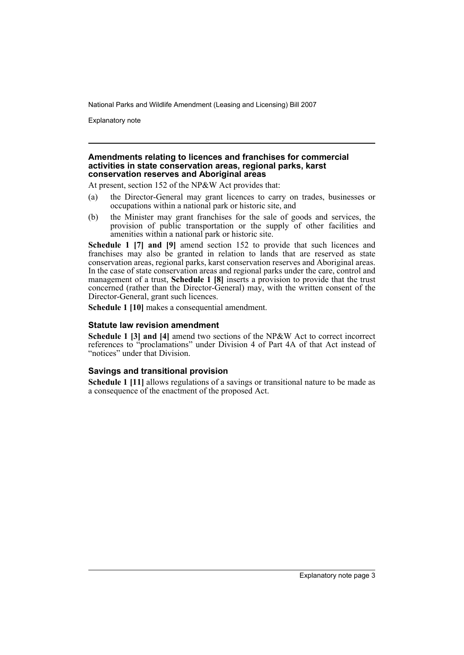Explanatory note

#### **Amendments relating to licences and franchises for commercial activities in state conservation areas, regional parks, karst conservation reserves and Aboriginal areas**

At present, section 152 of the NP&W Act provides that:

- (a) the Director-General may grant licences to carry on trades, businesses or occupations within a national park or historic site, and
- (b) the Minister may grant franchises for the sale of goods and services, the provision of public transportation or the supply of other facilities and amenities within a national park or historic site.

**Schedule 1 [7] and [9]** amend section 152 to provide that such licences and franchises may also be granted in relation to lands that are reserved as state conservation areas, regional parks, karst conservation reserves and Aboriginal areas. In the case of state conservation areas and regional parks under the care, control and management of a trust, **Schedule 1 [8]** inserts a provision to provide that the trust concerned (rather than the Director-General) may, with the written consent of the Director-General, grant such licences.

**Schedule 1 [10]** makes a consequential amendment.

#### **Statute law revision amendment**

**Schedule 1 [3] and [4]** amend two sections of the NP&W Act to correct incorrect references to "proclamations" under Division 4 of Part 4A of that Act instead of "notices" under that Division.

#### **Savings and transitional provision**

**Schedule 1 [11]** allows regulations of a savings or transitional nature to be made as a consequence of the enactment of the proposed Act.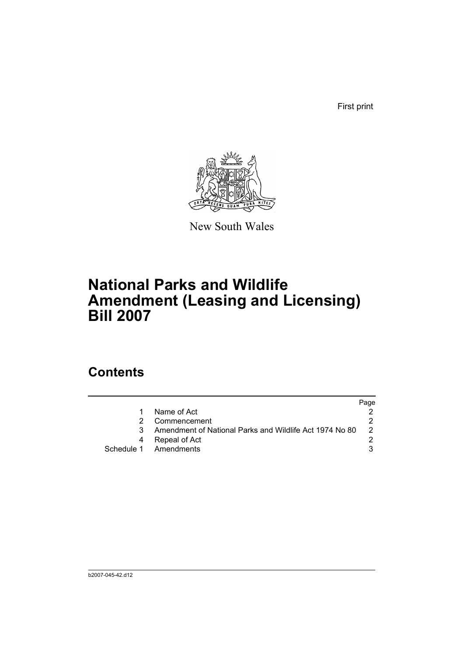First print



New South Wales

## **National Parks and Wildlife Amendment (Leasing and Licensing) Bill 2007**

### **Contents**

|                                                         | Page |
|---------------------------------------------------------|------|
| Name of Act                                             |      |
| Commencement                                            |      |
| Amendment of National Parks and Wildlife Act 1974 No 80 |      |
| Repeal of Act                                           |      |
| Schedule 1 Amendments                                   |      |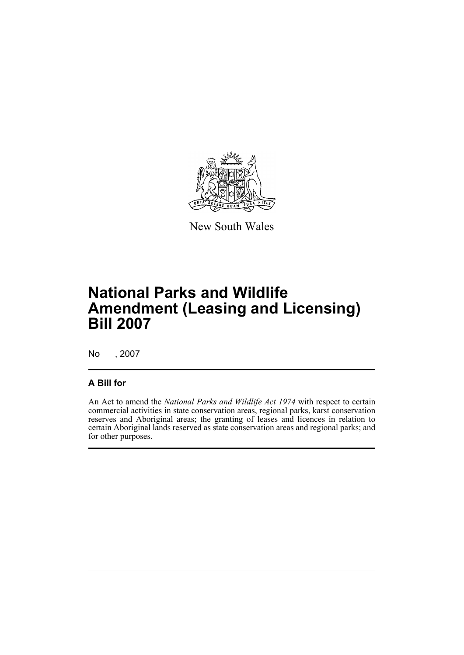

New South Wales

## **National Parks and Wildlife Amendment (Leasing and Licensing) Bill 2007**

No , 2007

### **A Bill for**

An Act to amend the *National Parks and Wildlife Act 1974* with respect to certain commercial activities in state conservation areas, regional parks, karst conservation reserves and Aboriginal areas; the granting of leases and licences in relation to certain Aboriginal lands reserved as state conservation areas and regional parks; and for other purposes.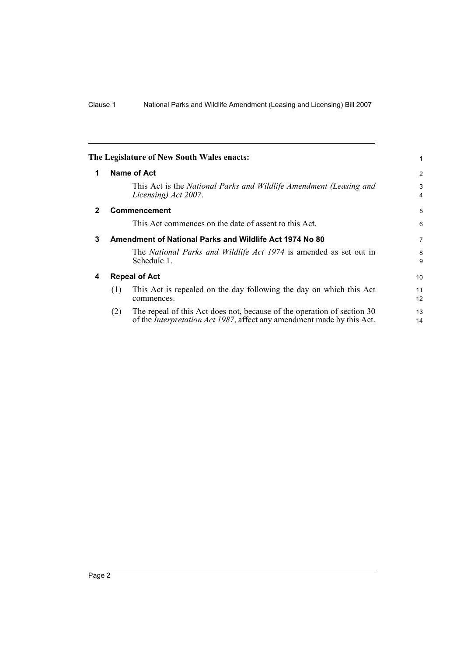<span id="page-7-3"></span><span id="page-7-2"></span><span id="page-7-1"></span><span id="page-7-0"></span>

|              |                                                         | The Legislature of New South Wales enacts:                                                                                                                | 1        |
|--------------|---------------------------------------------------------|-----------------------------------------------------------------------------------------------------------------------------------------------------------|----------|
| 1            |                                                         | Name of Act                                                                                                                                               | 2        |
|              |                                                         | This Act is the National Parks and Wildlife Amendment (Leasing and<br>Licensing) Act 2007.                                                                | 3<br>4   |
| $\mathbf{2}$ |                                                         | <b>Commencement</b>                                                                                                                                       | 5        |
|              |                                                         | This Act commences on the date of assent to this Act.                                                                                                     | 6        |
| 3            | Amendment of National Parks and Wildlife Act 1974 No 80 |                                                                                                                                                           | 7        |
|              |                                                         | The National Parks and Wildlife Act 1974 is amended as set out in<br>Schedule 1.                                                                          | 8<br>9   |
| 4            |                                                         | <b>Repeal of Act</b>                                                                                                                                      | 10       |
|              | (1)                                                     | This Act is repealed on the day following the day on which this Act<br>commences.                                                                         | 11<br>12 |
|              | (2)                                                     | The repeal of this Act does not, because of the operation of section 30<br>of the <i>Interpretation Act 1987</i> , affect any amendment made by this Act. | 13<br>14 |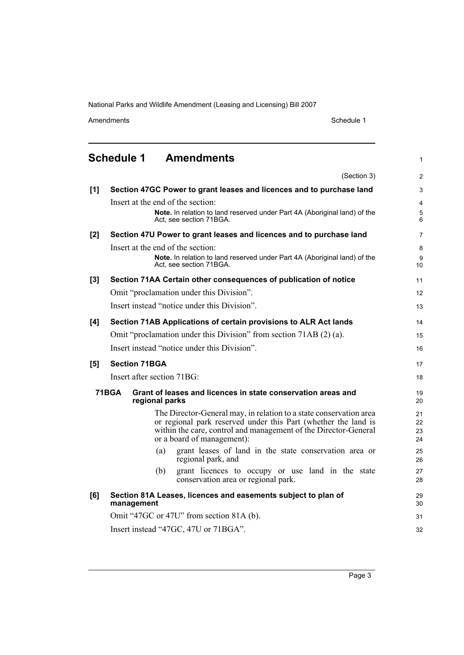Amendments Schedule 1

1

<span id="page-8-0"></span>**Schedule 1 Amendments**

|       | (Section 3)                                                                                                                                                                                                                           | $\overline{2}$                     |  |  |  |
|-------|---------------------------------------------------------------------------------------------------------------------------------------------------------------------------------------------------------------------------------------|------------------------------------|--|--|--|
| [1]   | Section 47GC Power to grant leases and licences and to purchase land                                                                                                                                                                  | 3                                  |  |  |  |
|       | Insert at the end of the section:<br>Note. In relation to land reserved under Part 4A (Aboriginal land) of the<br>Act. see section 71BGA.                                                                                             | $\overline{4}$<br>$\mathbf 5$<br>6 |  |  |  |
| [2]   | Section 47U Power to grant leases and licences and to purchase land                                                                                                                                                                   | $\overline{7}$                     |  |  |  |
|       | Insert at the end of the section:<br>Note. In relation to land reserved under Part 4A (Aboriginal land) of the<br>Act, see section 71BGA.                                                                                             | 8<br>9<br>10                       |  |  |  |
| $[3]$ | Section 71AA Certain other consequences of publication of notice                                                                                                                                                                      | 11                                 |  |  |  |
|       | Omit "proclamation under this Division".                                                                                                                                                                                              | 12                                 |  |  |  |
|       | Insert instead "notice under this Division".                                                                                                                                                                                          | 13                                 |  |  |  |
| [4]   | Section 71AB Applications of certain provisions to ALR Act lands                                                                                                                                                                      | 14                                 |  |  |  |
|       | Omit "proclamation under this Division" from section 71AB (2) (a).                                                                                                                                                                    | 15                                 |  |  |  |
|       | Insert instead "notice under this Division".                                                                                                                                                                                          | 16                                 |  |  |  |
| [5]   | <b>Section 71BGA</b>                                                                                                                                                                                                                  | 17                                 |  |  |  |
|       | Insert after section 71BG:                                                                                                                                                                                                            | 18                                 |  |  |  |
|       | 71 BGA<br>Grant of leases and licences in state conservation areas and<br>regional parks                                                                                                                                              |                                    |  |  |  |
|       | The Director-General may, in relation to a state conservation area<br>or regional park reserved under this Part (whether the land is<br>within the care, control and management of the Director-General<br>or a board of management): | 21<br>22<br>23<br>24               |  |  |  |
|       | grant leases of land in the state conservation area or<br>(a)<br>regional park, and                                                                                                                                                   | 25<br>26                           |  |  |  |
|       | grant licences to occupy or use land in the state<br>(b)<br>conservation area or regional park.                                                                                                                                       | 27<br>28                           |  |  |  |
| [6]   | Section 81A Leases, licences and easements subject to plan of<br>management                                                                                                                                                           | 29<br>30                           |  |  |  |
|       | Omit "47GC or 47U" from section 81A (b).                                                                                                                                                                                              |                                    |  |  |  |
|       | Insert instead "47GC, 47U or 71BGA".                                                                                                                                                                                                  |                                    |  |  |  |